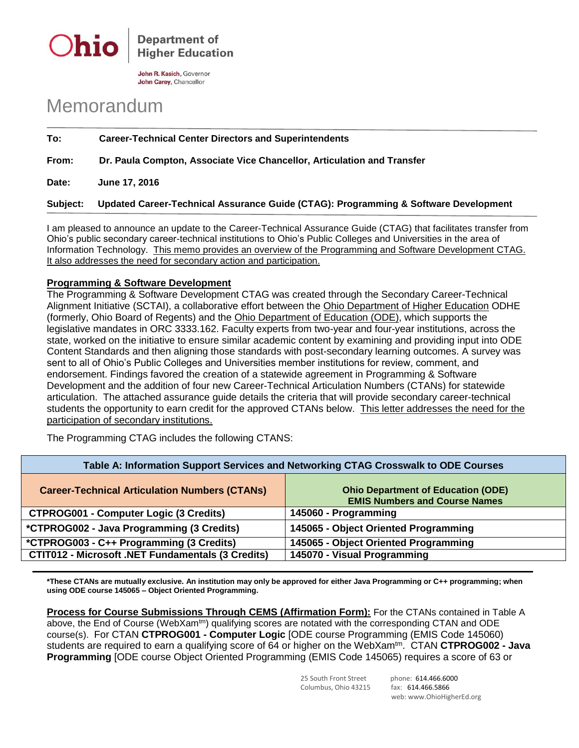

John R. Kasich, Governor John Carey, Chancellor

## Memorandum

**To: Career-Technical Center Directors and Superintendents**

**From: Dr. Paula Compton, Associate Vice Chancellor, Articulation and Transfer**

**Date: June 17, 2016**

**Subject: Updated Career-Technical Assurance Guide (CTAG): Programming & Software Development**

I am pleased to announce an update to the Career-Technical Assurance Guide (CTAG) that facilitates transfer from Ohio's public secondary career-technical institutions to Ohio's Public Colleges and Universities in the area of Information Technology. This memo provides an overview of the Programming and Software Development CTAG. It also addresses the need for secondary action and participation.

## **Programming & Software Development**

The Programming & Software Development CTAG was created through the Secondary Career-Technical Alignment Initiative (SCTAI), a collaborative effort between the Ohio Department of Higher Education ODHE (formerly, Ohio Board of Regents) and the Ohio Department of Education (ODE), which supports the legislative mandates in ORC 3333.162. Faculty experts from two-year and four-year institutions, across the state, worked on the initiative to ensure similar academic content by examining and providing input into ODE Content Standards and then aligning those standards with post-secondary learning outcomes. A survey was sent to all of Ohio's Public Colleges and Universities member institutions for review, comment, and endorsement. Findings favored the creation of a statewide agreement in Programming & Software Development and the addition of four new Career-Technical Articulation Numbers (CTANs) for statewide articulation. The attached assurance guide details the criteria that will provide secondary career-technical students the opportunity to earn credit for the approved CTANs below. This letter addresses the need for the participation of secondary institutions.

The Programming CTAG includes the following CTANS:

| Table A: Information Support Services and Networking CTAG Crosswalk to ODE Courses |                                                                                   |
|------------------------------------------------------------------------------------|-----------------------------------------------------------------------------------|
| <b>Career-Technical Articulation Numbers (CTANs)</b>                               | <b>Ohio Department of Education (ODE)</b><br><b>EMIS Numbers and Course Names</b> |
| <b>CTPROG001 - Computer Logic (3 Credits)</b>                                      | 145060 - Programming                                                              |
| *CTPROG002 - Java Programming (3 Credits)                                          | 145065 - Object Oriented Programming                                              |
| *CTPROG003 - C++ Programming (3 Credits)                                           | 145065 - Object Oriented Programming                                              |
| <b>CTIT012 - Microsoft .NET Fundamentals (3 Credits)</b>                           | 145070 - Visual Programming                                                       |

**\*These CTANs are mutually exclusive. An institution may only be approved for either Java Programming or C++ programming; when using ODE course 145065 – Object Oriented Programming.** 

**Process for Course Submissions Through CEMS (Affirmation Form):** For the CTANs contained in Table A above, the End of Course (WebXam<sup>tm</sup>) qualifying scores are notated with the corresponding CTAN and ODE course(s). For CTAN **CTPROG001 - Computer Logic** [ODE course Programming (EMIS Code 145060) students are required to earn a qualifying score of 64 or higher on the WebXam<sup>tm</sup>. CTAN **CTPROG002 - Java Programming** [ODE course Object Oriented Programming (EMIS Code 145065) requires a score of 63 or

Columbus, Ohio 43215 fax: 614.466.5866

25 South Front Street phone: 614.466.6000 web: www.OhioHigherEd.org